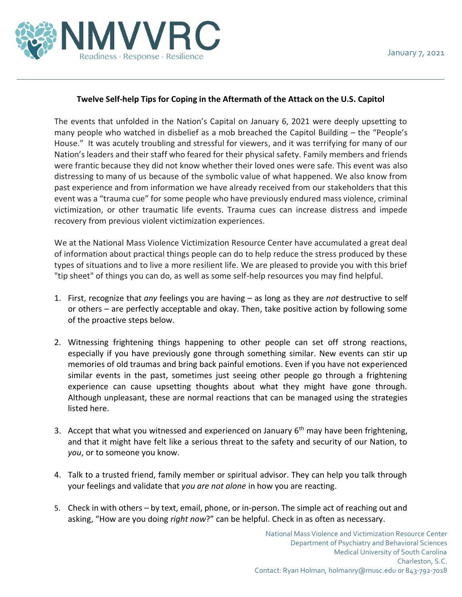

## **Twelve Self-help Tips for Coping in the Aftermath of the Attack on the U.S. Capitol**

The events that unfolded in the Nation's Capital on January 6, 2021 were deeply upsetting to many people who watched in disbelief as a mob breached the Capitol Building – the "People's House." It was acutely troubling and stressful for viewers, and it was terrifying for many of our Nation's leaders and their staff who feared for their physical safety. Family members and friends were frantic because they did not know whether their loved ones were safe. This event was also distressing to many of us because of the symbolic value of what happened. We also know from past experience and from information we have already received from our stakeholders that this event was a "trauma cue" for some people who have previously endured mass violence, criminal victimization, or other traumatic life events. Trauma cues can increase distress and impede recovery from previous violent victimization experiences.

We at the National Mass Violence Victimization Resource Center have accumulated a great deal of information about practical things people can do to help reduce the stress produced by these types of situations and to live a more resilient life. We are pleased to provide you with this brief "tip sheet" of things you can do, as well as some self-help resources you may find helpful.

- 1. First, recognize that *any* feelings you are having as long as they are *not* destructive to self or others – are perfectly acceptable and okay. Then, take positive action by following some of the proactive steps below.
- 2. Witnessing frightening things happening to other people can set off strong reactions, especially if you have previously gone through something similar. New events can stir up memories of old traumas and bring back painful emotions. Even if you have not experienced similar events in the past, sometimes just seeing other people go through a frightening experience can cause upsetting thoughts about what they might have gone through. Although unpleasant, these are normal reactions that can be managed using the strategies listed here.
- 3. Accept that what you witnessed and experienced on January  $6<sup>th</sup>$  may have been frightening, and that it might have felt like a serious threat to the safety and security of our Nation, to *you*, or to someone you know.
- 4. Talk to a trusted friend, family member or spiritual advisor. They can help you talk through your feelings and validate that *you are not alone* in how you are reacting.
- 5. Check in with others by text, email, phone, or in-person. The simple act of reaching out and asking, "How are you doing *right now*?" can be helpful. Check in as often as necessary.